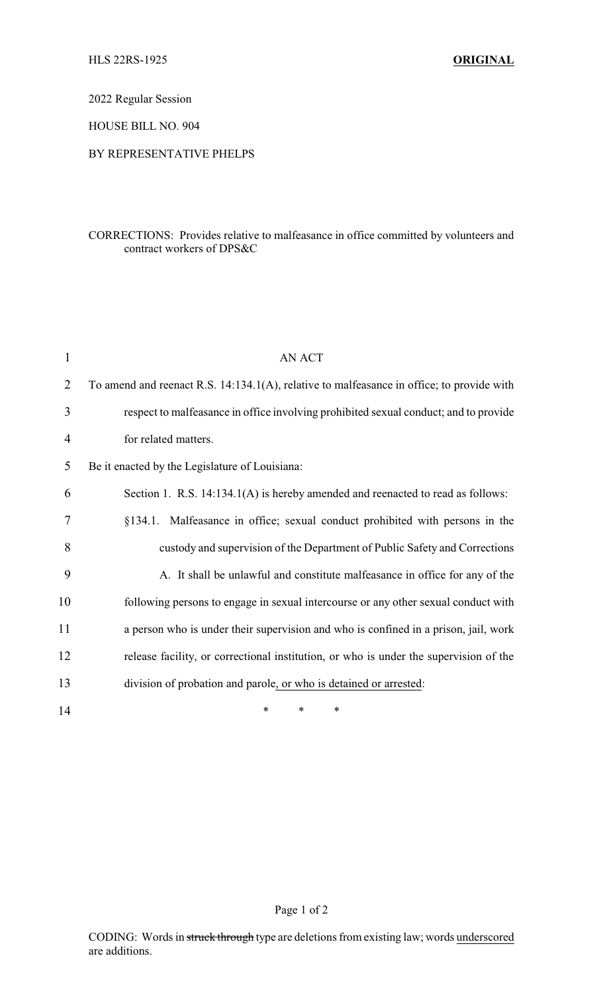2022 Regular Session

HOUSE BILL NO. 904

## BY REPRESENTATIVE PHELPS

## CORRECTIONS: Provides relative to malfeasance in office committed by volunteers and contract workers of DPS&C

| $\mathbf{1}$ | <b>AN ACT</b>                                                                             |
|--------------|-------------------------------------------------------------------------------------------|
| 2            | To amend and reenact R.S. 14:134.1(A), relative to malfeasance in office; to provide with |
| 3            | respect to malfeasance in office involving prohibited sexual conduct; and to provide      |
| 4            | for related matters.                                                                      |
| 5            | Be it enacted by the Legislature of Louisiana:                                            |
| 6            | Section 1. R.S. 14:134.1(A) is hereby amended and reenacted to read as follows:           |
| 7            | §134.1. Malfeasance in office; sexual conduct prohibited with persons in the              |
| 8            | custody and supervision of the Department of Public Safety and Corrections                |
| 9            | A. It shall be unlawful and constitute malfeasance in office for any of the               |
| 10           | following persons to engage in sexual intercourse or any other sexual conduct with        |
| 11           | a person who is under their supervision and who is confined in a prison, jail, work       |
| 12           | release facility, or correctional institution, or who is under the supervision of the     |
| 13           | division of probation and parole, or who is detained or arrested:                         |
| 14           | *<br>$\ast$<br>*                                                                          |